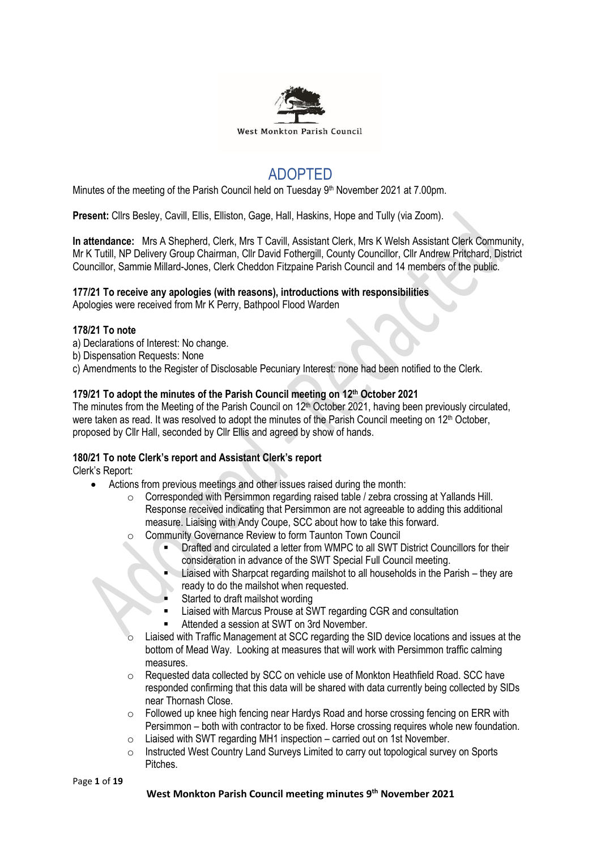

# ADOPTED

Minutes of the meeting of the Parish Council held on Tuesday 9<sup>th</sup> November 2021 at 7.00pm.

**Present:** Cllrs Besley, Cavill, Ellis, Elliston, Gage, Hall, Haskins, Hope and Tully (via Zoom).

**In attendance:** Mrs A Shepherd, Clerk, Mrs T Cavill, Assistant Clerk, Mrs K Welsh Assistant Clerk Community, Mr K Tutill, NP Delivery Group Chairman, Cllr David Fothergill, County Councillor, Cllr Andrew Pritchard, District Councillor, Sammie Millard-Jones, Clerk Cheddon Fitzpaine Parish Council and 14 members of the public.

## **177/21 To receive any apologies (with reasons), introductions with responsibilities**

Apologies were received from Mr K Perry, Bathpool Flood Warden

## **178/21 To note**

- a) Declarations of Interest: No change.
- b) Dispensation Requests: None
- c) Amendments to the Register of Disclosable Pecuniary Interest: none had been notified to the Clerk.

## **179/21 To adopt the minutes of the Parish Council meeting on 12 th October 2021**

The minutes from the Meeting of the Parish Council on 12<sup>th</sup> October 2021, having been previously circulated, were taken as read. It was resolved to adopt the minutes of the Parish Council meeting on 12<sup>th</sup> October, proposed by Cllr Hall, seconded by Cllr Ellis and agreed by show of hands.

## **180/21 To note Clerk's report and Assistant Clerk's report**

Clerk's Report:

- Actions from previous meetings and other issues raised during the month:
	- o Corresponded with Persimmon regarding raised table / zebra crossing at Yallands Hill. Response received indicating that Persimmon are not agreeable to adding this additional measure. Liaising with Andy Coupe, SCC about how to take this forward.
	- o Community Governance Review to form Taunton Town Council
		- Drafted and circulated a letter from WMPC to all SWT District Councillors for their consideration in advance of the SWT Special Full Council meeting.
		- Liaised with Sharpcat regarding mailshot to all households in the Parish they are ready to do the mailshot when requested.
		- Started to draft mailshot wording
		- Liaised with Marcus Prouse at SWT regarding CGR and consultation
		- Attended a session at SWT on 3rd November.
	- Liaised with Traffic Management at SCC regarding the SID device locations and issues at the bottom of Mead Way. Looking at measures that will work with Persimmon traffic calming measures.
	- o Requested data collected by SCC on vehicle use of Monkton Heathfield Road. SCC have responded confirming that this data will be shared with data currently being collected by SIDs near Thornash Close.
	- $\circ$  Followed up knee high fencing near Hardys Road and horse crossing fencing on ERR with Persimmon – both with contractor to be fixed. Horse crossing requires whole new foundation.
	- $\circ$  Liaised with SWT regarding MH1 inspection carried out on 1st November.
	- o Instructed West Country Land Surveys Limited to carry out topological survey on Sports Pitches.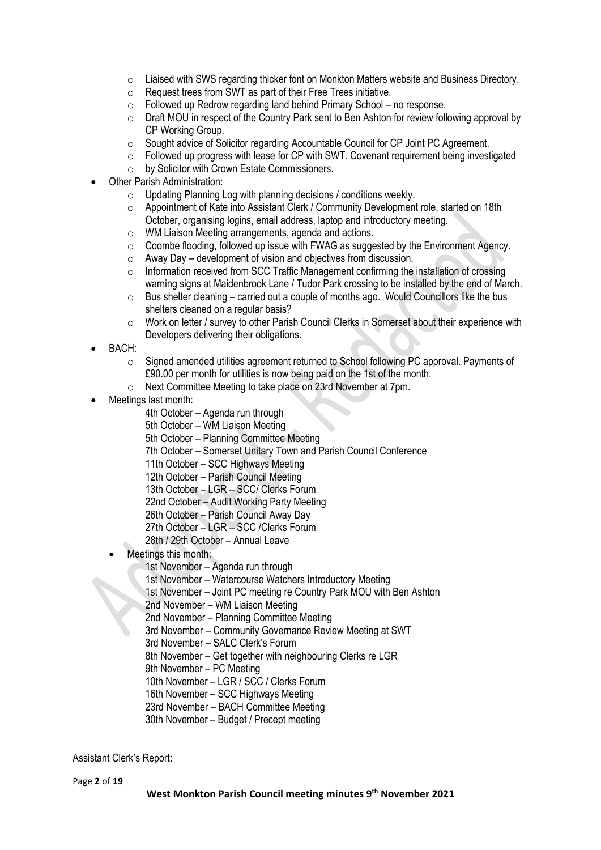- $\circ$  Liaised with SWS regarding thicker font on Monkton Matters website and Business Directory.
- o Request trees from SWT as part of their Free Trees initiative.
- o Followed up Redrow regarding land behind Primary School no response.
- o Draft MOU in respect of the Country Park sent to Ben Ashton for review following approval by CP Working Group.
- o Sought advice of Solicitor regarding Accountable Council for CP Joint PC Agreement.
- $\circ$  Followed up progress with lease for CP with SWT. Covenant requirement being investigated
- o by Solicitor with Crown Estate Commissioners.
- Other Parish Administration:
	- $\circ$  Updating Planning Log with planning decisions / conditions weekly.
	- o Appointment of Kate into Assistant Clerk / Community Development role, started on 18th October, organising logins, email address, laptop and introductory meeting.
	- o WM Liaison Meeting arrangements, agenda and actions.
	- $\circ$  Coombe flooding, followed up issue with FWAG as suggested by the Environment Agency.
	- $\circ$  Away Day development of vision and objectives from discussion.
	- o Information received from SCC Traffic Management confirming the installation of crossing warning signs at Maidenbrook Lane / Tudor Park crossing to be installed by the end of March.
	- $\circ$  Bus shelter cleaning carried out a couple of months ago. Would Councillors like the bus shelters cleaned on a regular basis?
	- o Work on letter / survey to other Parish Council Clerks in Somerset about their experience with Developers delivering their obligations.
- BACH:
	- o Signed amended utilities agreement returned to School following PC approval. Payments of £90.00 per month for utilities is now being paid on the 1st of the month.
	- o Next Committee Meeting to take place on 23rd November at 7pm.
- Meetings last month:
	- 4th October Agenda run through
	- 5th October WM Liaison Meeting
	- 5th October Planning Committee Meeting
	- 7th October Somerset Unitary Town and Parish Council Conference
	- 11th October SCC Highways Meeting
	- 12th October Parish Council Meeting
	- 13th October LGR SCC/ Clerks Forum
	- 22nd October Audit Working Party Meeting
	- 26th October Parish Council Away Day
	- 27th October LGR SCC /Clerks Forum
	- 28th / 29th October Annual Leave
	- Meetings this month:
		- 1st November Agenda run through
		- 1st November Watercourse Watchers Introductory Meeting
		- 1st November Joint PC meeting re Country Park MOU with Ben Ashton
		- 2nd November WM Liaison Meeting
		- 2nd November Planning Committee Meeting
		- 3rd November Community Governance Review Meeting at SWT
		- 3rd November SALC Clerk's Forum
		- 8th November Get together with neighbouring Clerks re LGR
		- 9th November PC Meeting
		- 10th November LGR / SCC / Clerks Forum
		- 16th November SCC Highways Meeting
		- 23rd November BACH Committee Meeting
		- 30th November Budget / Precept meeting

Assistant Clerk's Report: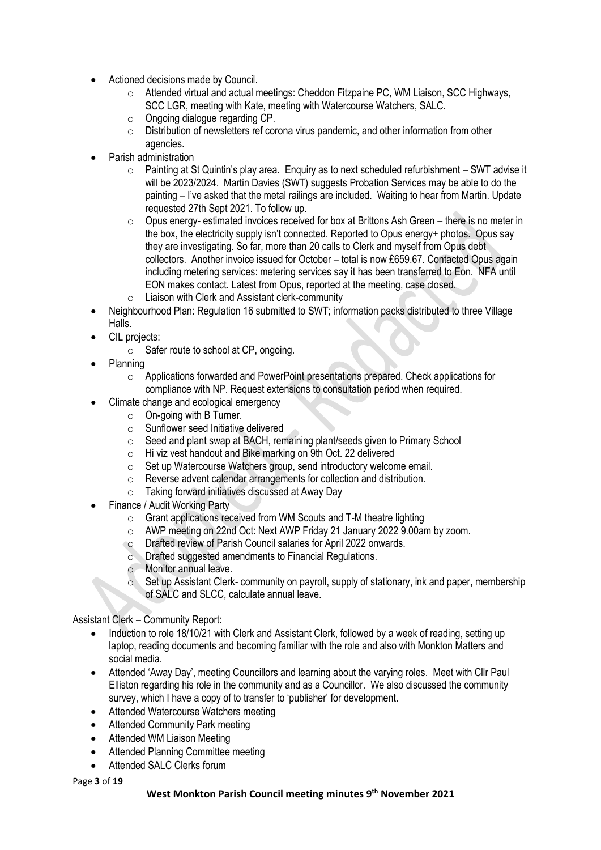- Actioned decisions made by Council.
	- $\circ$  Attended virtual and actual meetings: Cheddon Fitzpaine PC, WM Liaison, SCC Highways, SCC LGR, meeting with Kate, meeting with Watercourse Watchers, SALC.
	- o Ongoing dialogue regarding CP.
	- o Distribution of newsletters ref corona virus pandemic, and other information from other agencies.
- Parish administration
	- $\circ$  Painting at St Quintin's play area. Enquiry as to next scheduled refurbishment SWT advise it will be 2023/2024. Martin Davies (SWT) suggests Probation Services may be able to do the painting – I've asked that the metal railings are included. Waiting to hear from Martin. Update requested 27th Sept 2021. To follow up.
	- $\circ$  Opus energy- estimated invoices received for box at Brittons Ash Green there is no meter in the box, the electricity supply isn't connected. Reported to Opus energy+ photos. Opus say they are investigating. So far, more than 20 calls to Clerk and myself from Opus debt collectors. Another invoice issued for October – total is now £659.67. Contacted Opus again including metering services: metering services say it has been transferred to Eon. NFA until EON makes contact. Latest from Opus, reported at the meeting, case closed.
	- o Liaison with Clerk and Assistant clerk-community
- Neighbourhood Plan: Regulation 16 submitted to SWT; information packs distributed to three Village Halls.
- CIL projects:
	- $\circ$  Safer route to school at CP, ongoing.
- Planning
	- o Applications forwarded and PowerPoint presentations prepared. Check applications for compliance with NP. Request extensions to consultation period when required.
- Climate change and ecological emergency
	- $\circ$  On-going with B Turner.
	- $\circ$  Sunflower seed Initiative delivered
	- o Seed and plant swap at BACH, remaining plant/seeds given to Primary School
	- o Hi viz vest handout and Bike marking on 9th Oct. 22 delivered
	- o Set up Watercourse Watchers group, send introductory welcome email.
	- o Reverse advent calendar arrangements for collection and distribution.
	- o Taking forward initiatives discussed at Away Day
- Finance / Audit Working Party
	- o Grant applications received from WM Scouts and T-M theatre lighting
	- o AWP meeting on 22nd Oct: Next AWP Friday 21 January 2022 9.00am by zoom.
	- o Drafted review of Parish Council salaries for April 2022 onwards.
	- o Drafted suggested amendments to Financial Regulations.
	- o Monitor annual leave.
	- o Set up Assistant Clerk- community on payroll, supply of stationary, ink and paper, membership of SALC and SLCC, calculate annual leave.

Assistant Clerk – Community Report:

- Induction to role 18/10/21 with Clerk and Assistant Clerk, followed by a week of reading, setting up laptop, reading documents and becoming familiar with the role and also with Monkton Matters and social media.
- Attended 'Away Day', meeting Councillors and learning about the varying roles. Meet with Cllr Paul Elliston regarding his role in the community and as a Councillor. We also discussed the community survey, which I have a copy of to transfer to 'publisher' for development.
- Attended Watercourse Watchers meeting
- Attended Community Park meeting
- Attended WM Liaison Meeting
- Attended Planning Committee meeting
- Attended SALC Clerks forum

Page **3** of **19**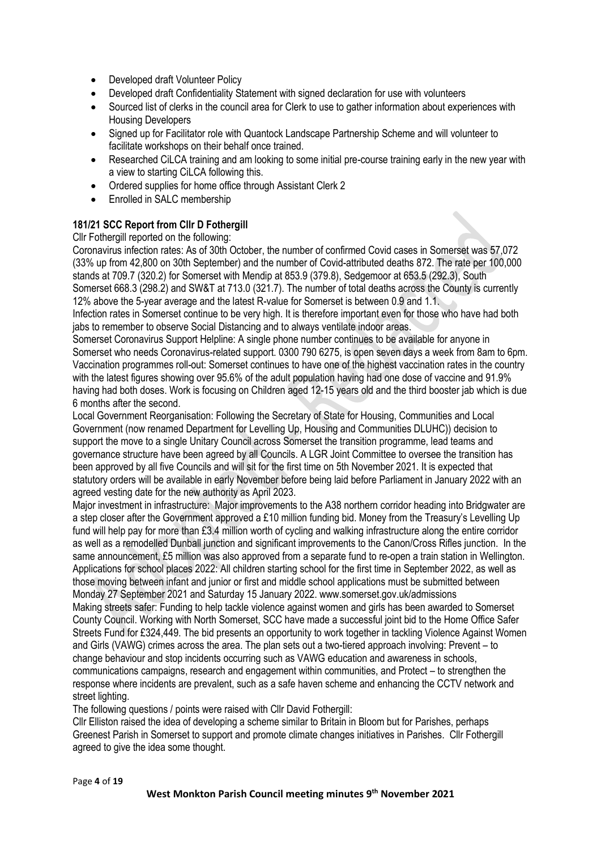- Developed draft Volunteer Policy
- Developed draft Confidentiality Statement with signed declaration for use with volunteers
- Sourced list of clerks in the council area for Clerk to use to gather information about experiences with Housing Developers
- Signed up for Facilitator role with Quantock Landscape Partnership Scheme and will volunteer to facilitate workshops on their behalf once trained.
- Researched CiLCA training and am looking to some initial pre-course training early in the new year with a view to starting CiLCA following this.
- Ordered supplies for home office through Assistant Clerk 2
- Enrolled in SALC membership

## **181/21 SCC Report from Cllr D Fothergill**

Cllr Fothergill reported on the following:

Coronavirus infection rates: As of 30th October, the number of confirmed Covid cases in Somerset was 57,072 (33% up from 42,800 on 30th September) and the number of Covid-attributed deaths 872. The rate per 100,000 stands at 709.7 (320.2) for Somerset with Mendip at 853.9 (379.8), Sedgemoor at 653.5 (292.3), South Somerset 668.3 (298.2) and SW&T at 713.0 (321.7). The number of total deaths across the County is currently 12% above the 5-year average and the latest R-value for Somerset is between 0.9 and 1.1. Infection rates in Somerset continue to be very high. It is therefore important even for those who have had both

jabs to remember to observe Social Distancing and to always ventilate indoor areas.

Somerset Coronavirus Support Helpline: A single phone number continues to be available for anyone in Somerset who needs Coronavirus-related support. 0300 790 6275, is open seven days a week from 8am to 6pm. Vaccination programmes roll-out: Somerset continues to have one of the highest vaccination rates in the country with the latest figures showing over 95.6% of the adult population having had one dose of vaccine and 91.9% having had both doses. Work is focusing on Children aged 12-15 years old and the third booster jab which is due 6 months after the second.

Local Government Reorganisation: Following the Secretary of State for Housing, Communities and Local Government (now renamed Department for Levelling Up, Housing and Communities DLUHC)) decision to support the move to a single Unitary Council across Somerset the transition programme, lead teams and governance structure have been agreed by all Councils. A LGR Joint Committee to oversee the transition has been approved by all five Councils and will sit for the first time on 5th November 2021. It is expected that statutory orders will be available in early November before being laid before Parliament in January 2022 with an agreed vesting date for the new authority as April 2023.

Major investment in infrastructure: Major improvements to the A38 northern corridor heading into Bridgwater are a step closer after the Government approved a £10 million funding bid. Money from the Treasury's Levelling Up fund will help pay for more than £3.4 million worth of cycling and walking infrastructure along the entire corridor as well as a remodelled Dunball junction and significant improvements to the Canon/Cross Rifles junction. In the same announcement, £5 million was also approved from a separate fund to re-open a train station in Wellington. Applications for school places 2022: All children starting school for the first time in September 2022, as well as those moving between infant and junior or first and middle school applications must be submitted between Monday 27 September 2021 and Saturday 15 January 2022. www.somerset.gov.uk/admissions Making streets safer: Funding to help tackle violence against women and girls has been awarded to Somerset County Council. Working with North Somerset, SCC have made a successful joint bid to the Home Office Safer Streets Fund for £324,449. The bid presents an opportunity to work together in tackling Violence Against Women and Girls (VAWG) crimes across the area. The plan sets out a two-tiered approach involving: Prevent – to change behaviour and stop incidents occurring such as VAWG education and awareness in schools, communications campaigns, research and engagement within communities, and Protect – to strengthen the response where incidents are prevalent, such as a safe haven scheme and enhancing the CCTV network and street lighting.

The following questions / points were raised with Cllr David Fothergill:

Cllr Elliston raised the idea of developing a scheme similar to Britain in Bloom but for Parishes, perhaps Greenest Parish in Somerset to support and promote climate changes initiatives in Parishes. Cllr Fothergill agreed to give the idea some thought.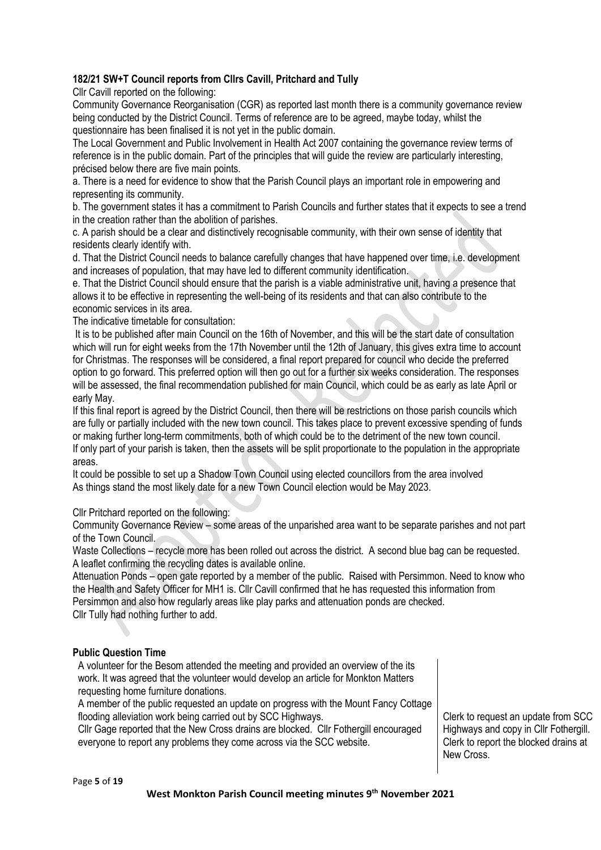## **182/21 SW+T Council reports from Cllrs Cavill, Pritchard and Tully**

Cllr Cavill reported on the following:

Community Governance Reorganisation (CGR) as reported last month there is a community governance review being conducted by the District Council. Terms of reference are to be agreed, maybe today, whilst the questionnaire has been finalised it is not yet in the public domain.

The Local Government and Public Involvement in Health Act 2007 containing the governance review terms of reference is in the public domain. Part of the principles that will guide the review are particularly interesting, précised below there are five main points.

a. There is a need for evidence to show that the Parish Council plays an important role in empowering and representing its community.

b. The government states it has a commitment to Parish Councils and further states that it expects to see a trend in the creation rather than the abolition of parishes.

c. A parish should be a clear and distinctively recognisable community, with their own sense of identity that residents clearly identify with.

d. That the District Council needs to balance carefully changes that have happened over time, i.e. development and increases of population, that may have led to different community identification.

e. That the District Council should ensure that the parish is a viable administrative unit, having a presence that allows it to be effective in representing the well-being of its residents and that can also contribute to the economic services in its area.

The indicative timetable for consultation:

It is to be published after main Council on the 16th of November, and this will be the start date of consultation which will run for eight weeks from the 17th November until the 12th of January, this gives extra time to account for Christmas. The responses will be considered, a final report prepared for council who decide the preferred option to go forward. This preferred option will then go out for a further six weeks consideration. The responses will be assessed, the final recommendation published for main Council, which could be as early as late April or early May.

If this final report is agreed by the District Council, then there will be restrictions on those parish councils which are fully or partially included with the new town council. This takes place to prevent excessive spending of funds or making further long-term commitments, both of which could be to the detriment of the new town council. If only part of your parish is taken, then the assets will be split proportionate to the population in the appropriate areas.

It could be possible to set up a Shadow Town Council using elected councillors from the area involved As things stand the most likely date for a new Town Council election would be May 2023.

Cllr Pritchard reported on the following:

Community Governance Review – some areas of the unparished area want to be separate parishes and not part of the Town Council.

Waste Collections – recycle more has been rolled out across the district. A second blue bag can be requested. A leaflet confirming the recycling dates is available online.

Attenuation Ponds – open gate reported by a member of the public. Raised with Persimmon. Need to know who the Health and Safety Officer for MH1 is. Cllr Cavill confirmed that he has requested this information from Persimmon and also how regularly areas like play parks and attenuation ponds are checked. Cllr Tully had nothing further to add.

## **Public Question Time**

A volunteer for the Besom attended the meeting and provided an overview of the its work. It was agreed that the volunteer would develop an article for Monkton Matters requesting home furniture donations.

A member of the public requested an update on progress with the Mount Fancy Cottage flooding alleviation work being carried out by SCC Highways.

Cllr Gage reported that the New Cross drains are blocked. Cllr Fothergill encouraged everyone to report any problems they come across via the SCC website.

Clerk to request an update from SCC Highways and copy in Cllr Fothergill. Clerk to report the blocked drains at New Cross.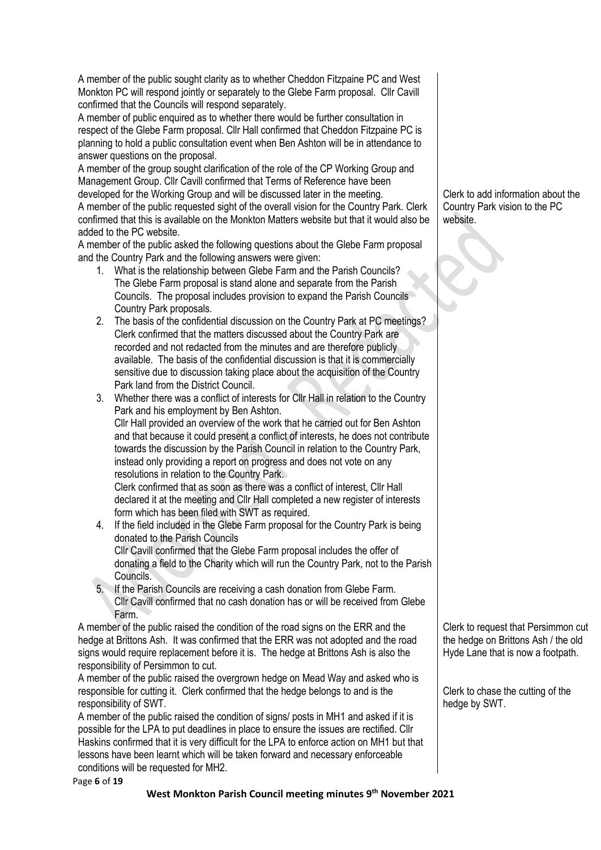A member of the public sought clarity as to whether Cheddon Fitzpaine PC and West Monkton PC will respond jointly or separately to the Glebe Farm proposal. Cllr Cavill confirmed that the Councils will respond separately.

A member of public enquired as to whether there would be further consultation in respect of the Glebe Farm proposal. Cllr Hall confirmed that Cheddon Fitzpaine PC is planning to hold a public consultation event when Ben Ashton will be in attendance to answer questions on the proposal.

A member of the group sought clarification of the role of the CP Working Group and Management Group. Cllr Cavill confirmed that Terms of Reference have been developed for the Working Group and will be discussed later in the meeting. A member of the public requested sight of the overall vision for the Country Park. Clerk confirmed that this is available on the Monkton Matters website but that it would also be added to the PC website.

A member of the public asked the following questions about the Glebe Farm proposal and the Country Park and the following answers were given:

- 1. What is the relationship between Glebe Farm and the Parish Councils? The Glebe Farm proposal is stand alone and separate from the Parish Councils. The proposal includes provision to expand the Parish Councils Country Park proposals.
- 2. The basis of the confidential discussion on the Country Park at PC meetings? Clerk confirmed that the matters discussed about the Country Park are recorded and not redacted from the minutes and are therefore publicly available. The basis of the confidential discussion is that it is commercially sensitive due to discussion taking place about the acquisition of the Country Park land from the District Council.
- 3. Whether there was a conflict of interests for Cllr Hall in relation to the Country Park and his employment by Ben Ashton. Cllr Hall provided an overview of the work that he carried out for Ben Ashton and that because it could present a conflict of interests, he does not contribute towards the discussion by the Parish Council in relation to the Country Park, instead only providing a report on progress and does not vote on any resolutions in relation to the Country Park.

Clerk confirmed that as soon as there was a conflict of interest, Cllr Hall declared it at the meeting and Cllr Hall completed a new register of interests form which has been filed with SWT as required.

- 4. If the field included in the Glebe Farm proposal for the Country Park is being donated to the Parish Councils Cllr Cavill confirmed that the Glebe Farm proposal includes the offer of donating a field to the Charity which will run the Country Park, not to the Parish Councils.
- 5. If the Parish Councils are receiving a cash donation from Glebe Farm. Cllr Cavill confirmed that no cash donation has or will be received from Glebe Farm.

A member of the public raised the condition of the road signs on the ERR and the hedge at Brittons Ash. It was confirmed that the ERR was not adopted and the road signs would require replacement before it is. The hedge at Brittons Ash is also the responsibility of Persimmon to cut.

A member of the public raised the overgrown hedge on Mead Way and asked who is responsible for cutting it. Clerk confirmed that the hedge belongs to and is the responsibility of SWT.

A member of the public raised the condition of signs/ posts in MH1 and asked if it is possible for the LPA to put deadlines in place to ensure the issues are rectified. Cllr Haskins confirmed that it is very difficult for the LPA to enforce action on MH1 but that lessons have been learnt which will be taken forward and necessary enforceable conditions will be requested for MH2.

Clerk to add information about the Country Park vision to the PC website.

Clerk to request that Persimmon cut the hedge on Brittons Ash / the old Hyde Lane that is now a footpath.

Clerk to chase the cutting of the hedge by SWT.

Page **6** of **19**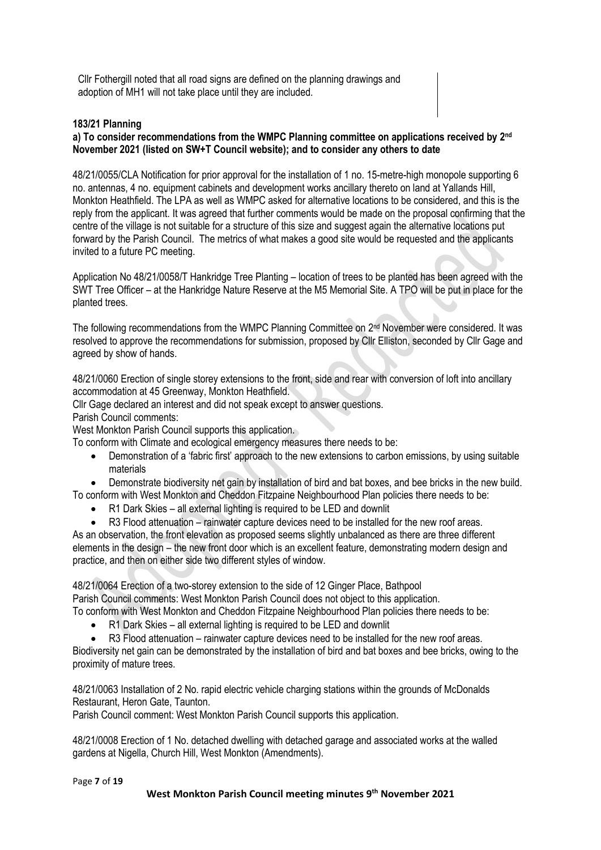Cllr Fothergill noted that all road signs are defined on the planning drawings and adoption of MH1 will not take place until they are included.

## **183/21 Planning**

## a) To consider recommendations from the WMPC Planning committee on applications received by 2<sup>nd</sup> **November 2021 (listed on SW+T Council website); and to consider any others to date**

48/21/0055/CLA Notification for prior approval for the installation of 1 no. 15-metre-high monopole supporting 6 no. antennas, 4 no. equipment cabinets and development works ancillary thereto on land at Yallands Hill, Monkton Heathfield. The LPA as well as WMPC asked for alternative locations to be considered, and this is the reply from the applicant. It was agreed that further comments would be made on the proposal confirming that the centre of the village is not suitable for a structure of this size and suggest again the alternative locations put forward by the Parish Council. The metrics of what makes a good site would be requested and the applicants invited to a future PC meeting.

Application No 48/21/0058/T Hankridge Tree Planting – location of trees to be planted has been agreed with the SWT Tree Officer – at the Hankridge Nature Reserve at the M5 Memorial Site. A TPO will be put in place for the planted trees.

The following recommendations from the WMPC Planning Committee on 2<sup>nd</sup> November were considered. It was resolved to approve the recommendations for submission, proposed by Cllr Elliston, seconded by Cllr Gage and agreed by show of hands.

48/21/0060 Erection of single storey extensions to the front, side and rear with conversion of loft into ancillary accommodation at 45 Greenway, Monkton Heathfield.

Cllr Gage declared an interest and did not speak except to answer questions.

Parish Council comments:

West Monkton Parish Council supports this application.

To conform with Climate and ecological emergency measures there needs to be:

- Demonstration of a 'fabric first' approach to the new extensions to carbon emissions, by using suitable materials
- Demonstrate biodiversity net gain by installation of bird and bat boxes, and bee bricks in the new build.

To conform with West Monkton and Cheddon Fitzpaine Neighbourhood Plan policies there needs to be:

- R1 Dark Skies all external lighting is required to be LED and downlit
- R3 Flood attenuation rainwater capture devices need to be installed for the new roof areas.

As an observation, the front elevation as proposed seems slightly unbalanced as there are three different elements in the design – the new front door which is an excellent feature, demonstrating modern design and practice, and then on either side two different styles of window.

48/21/0064 Erection of a two-storey extension to the side of 12 Ginger Place, Bathpool Parish Council comments: West Monkton Parish Council does not object to this application.

To conform with West Monkton and Cheddon Fitzpaine Neighbourhood Plan policies there needs to be:

- R1 Dark Skies all external lighting is required to be LED and downlit
- R3 Flood attenuation rainwater capture devices need to be installed for the new roof areas.

Biodiversity net gain can be demonstrated by the installation of bird and bat boxes and bee bricks, owing to the proximity of mature trees.

48/21/0063 Installation of 2 No. rapid electric vehicle charging stations within the grounds of McDonalds Restaurant, Heron Gate, Taunton.

Parish Council comment: West Monkton Parish Council supports this application.

48/21/0008 Erection of 1 No. detached dwelling with detached garage and associated works at the walled gardens at Nigella, Church Hill, West Monkton (Amendments).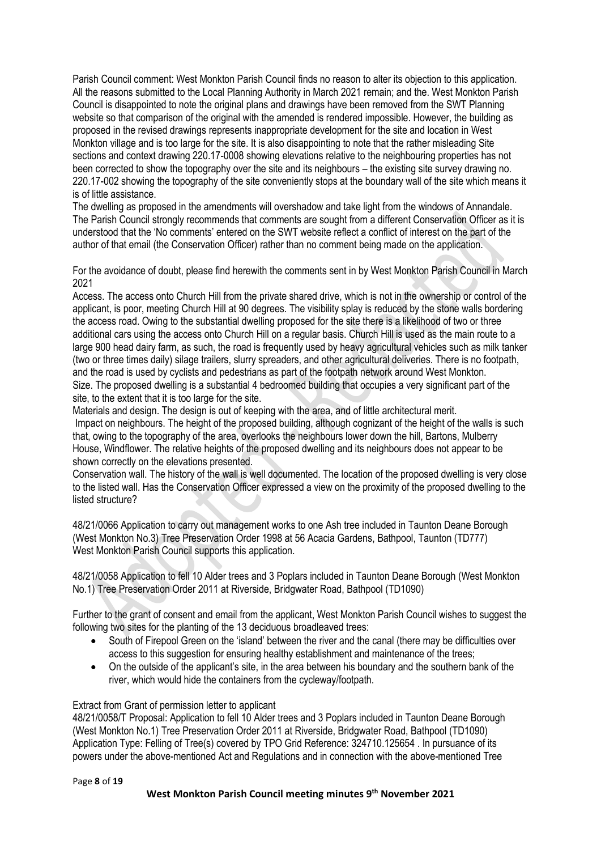Parish Council comment: West Monkton Parish Council finds no reason to alter its objection to this application. All the reasons submitted to the Local Planning Authority in March 2021 remain; and the. West Monkton Parish Council is disappointed to note the original plans and drawings have been removed from the SWT Planning website so that comparison of the original with the amended is rendered impossible. However, the building as proposed in the revised drawings represents inappropriate development for the site and location in West Monkton village and is too large for the site. It is also disappointing to note that the rather misleading Site sections and context drawing 220.17-0008 showing elevations relative to the neighbouring properties has not been corrected to show the topography over the site and its neighbours – the existing site survey drawing no. 220.17-002 showing the topography of the site conveniently stops at the boundary wall of the site which means it is of little assistance.

The dwelling as proposed in the amendments will overshadow and take light from the windows of Annandale. The Parish Council strongly recommends that comments are sought from a different Conservation Officer as it is understood that the 'No comments' entered on the SWT website reflect a conflict of interest on the part of the author of that email (the Conservation Officer) rather than no comment being made on the application.

For the avoidance of doubt, please find herewith the comments sent in by West Monkton Parish Council in March 2021

Access. The access onto Church Hill from the private shared drive, which is not in the ownership or control of the applicant, is poor, meeting Church Hill at 90 degrees. The visibility splay is reduced by the stone walls bordering the access road. Owing to the substantial dwelling proposed for the site there is a likelihood of two or three additional cars using the access onto Church Hill on a regular basis. Church Hill is used as the main route to a large 900 head dairy farm, as such, the road is frequently used by heavy agricultural vehicles such as milk tanker (two or three times daily) silage trailers, slurry spreaders, and other agricultural deliveries. There is no footpath, and the road is used by cyclists and pedestrians as part of the footpath network around West Monkton. Size. The proposed dwelling is a substantial 4 bedroomed building that occupies a very significant part of the site, to the extent that it is too large for the site.

Materials and design. The design is out of keeping with the area, and of little architectural merit. Impact on neighbours. The height of the proposed building, although cognizant of the height of the walls is such that, owing to the topography of the area, overlooks the neighbours lower down the hill, Bartons, Mulberry House, Windflower. The relative heights of the proposed dwelling and its neighbours does not appear to be shown correctly on the elevations presented.

Conservation wall. The history of the wall is well documented. The location of the proposed dwelling is very close to the listed wall. Has the Conservation Officer expressed a view on the proximity of the proposed dwelling to the listed structure?

48/21/0066 Application to carry out management works to one Ash tree included in Taunton Deane Borough (West Monkton No.3) Tree Preservation Order 1998 at 56 Acacia Gardens, Bathpool, Taunton (TD777) West Monkton Parish Council supports this application.

48/21/0058 Application to fell 10 Alder trees and 3 Poplars included in Taunton Deane Borough (West Monkton No.1) Tree Preservation Order 2011 at Riverside, Bridgwater Road, Bathpool (TD1090)

Further to the grant of consent and email from the applicant, West Monkton Parish Council wishes to suggest the following two sites for the planting of the 13 deciduous broadleaved trees:

- South of Firepool Green on the 'island' between the river and the canal (there may be difficulties over access to this suggestion for ensuring healthy establishment and maintenance of the trees;
- On the outside of the applicant's site, in the area between his boundary and the southern bank of the river, which would hide the containers from the cycleway/footpath.

#### Extract from Grant of permission letter to applicant

48/21/0058/T Proposal: Application to fell 10 Alder trees and 3 Poplars included in Taunton Deane Borough (West Monkton No.1) Tree Preservation Order 2011 at Riverside, Bridgwater Road, Bathpool (TD1090) Application Type: Felling of Tree(s) covered by TPO Grid Reference: 324710.125654 . In pursuance of its powers under the above-mentioned Act and Regulations and in connection with the above-mentioned Tree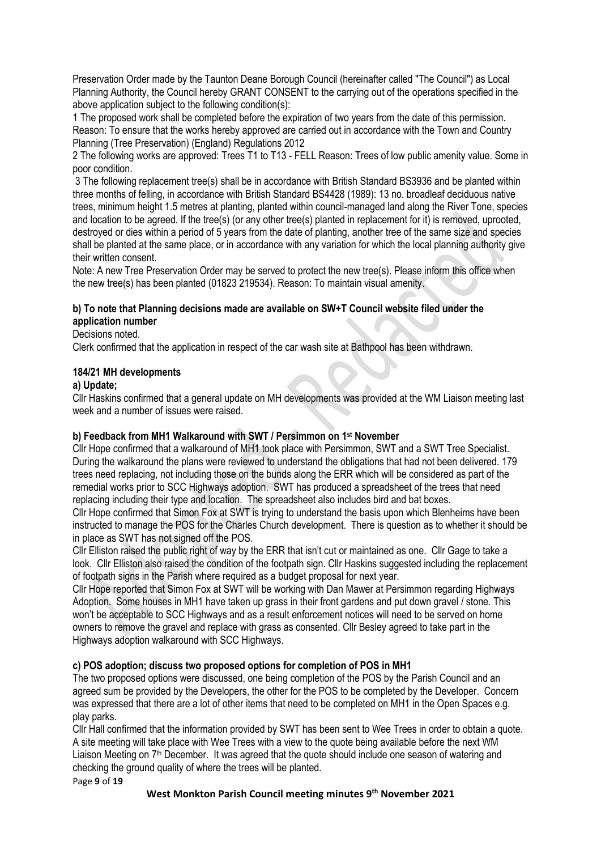Preservation Order made by the Taunton Deane Borough Council (hereinafter called "The Council") as Local Planning Authority, the Council hereby GRANT CONSENT to the carrying out of the operations specified in the above application subject to the following condition(s):

1 The proposed work shall be completed before the expiration of two years from the date of this permission. Reason: To ensure that the works hereby approved are carried out in accordance with the Town and Country Planning (Tree Preservation) (England) Regulations 2012

2 The following works are approved: Trees T1 to T13 - FELL Reason: Trees of low public amenity value. Some in poor condition.

3 The following replacement tree(s) shall be in accordance with British Standard BS3936 and be planted within three months of felling, in accordance with British Standard BS4428 (1989): 13 no. broadleaf deciduous native trees, minimum height 1.5 metres at planting, planted within council-managed land along the River Tone, species and location to be agreed. If the tree(s) (or any other tree(s) planted in replacement for it) is removed, uprooted, destroyed or dies within a period of 5 years from the date of planting, another tree of the same size and species shall be planted at the same place, or in accordance with any variation for which the local planning authority give their written consent.

Note: A new Tree Preservation Order may be served to protect the new tree(s). Please inform this office when the new tree(s) has been planted (01823 219534). Reason: To maintain visual amenity.

## **b) To note that Planning decisions made are available on SW+T Council website filed under the application number**

## Decisions noted.

Clerk confirmed that the application in respect of the car wash site at Bathpool has been withdrawn.

## **184/21 MH developments**

#### **a) Update;**

Cllr Haskins confirmed that a general update on MH developments was provided at the WM Liaison meeting last week and a number of issues were raised.

#### **b) Feedback from MH1 Walkaround with SWT / Persimmon on 1st November**

Cllr Hope confirmed that a walkaround of MH1 took place with Persimmon, SWT and a SWT Tree Specialist. During the walkaround the plans were reviewed to understand the obligations that had not been delivered. 179 trees need replacing, not including those on the bunds along the ERR which will be considered as part of the remedial works prior to SCC Highways adoption. SWT has produced a spreadsheet of the trees that need replacing including their type and location. The spreadsheet also includes bird and bat boxes.

Cllr Hope confirmed that Simon Fox at SWT is trying to understand the basis upon which Blenheims have been instructed to manage the POS for the Charles Church development. There is question as to whether it should be in place as SWT has not signed off the POS.

Cllr Elliston raised the public right of way by the ERR that isn't cut or maintained as one. Cllr Gage to take a look. Cllr Elliston also raised the condition of the footpath sign. Cllr Haskins suggested including the replacement of footpath signs in the Parish where required as a budget proposal for next year.

Cllr Hope reported that Simon Fox at SWT will be working with Dan Mawer at Persimmon regarding Highways Adoption. Some houses in MH1 have taken up grass in their front gardens and put down gravel / stone. This won't be acceptable to SCC Highways and as a result enforcement notices will need to be served on home owners to remove the gravel and replace with grass as consented. Cllr Besley agreed to take part in the Highways adoption walkaround with SCC Highways.

## **c) POS adoption; discuss two proposed options for completion of POS in MH1**

The two proposed options were discussed, one being completion of the POS by the Parish Council and an agreed sum be provided by the Developers, the other for the POS to be completed by the Developer. Concern was expressed that there are a lot of other items that need to be completed on MH1 in the Open Spaces e.g. play parks.

Cllr Hall confirmed that the information provided by SWT has been sent to Wee Trees in order to obtain a quote. A site meeting will take place with Wee Trees with a view to the quote being available before the next WM Liaison Meeting on 7<sup>th</sup> December. It was agreed that the quote should include one season of watering and checking the ground quality of where the trees will be planted.

Page **9** of **19**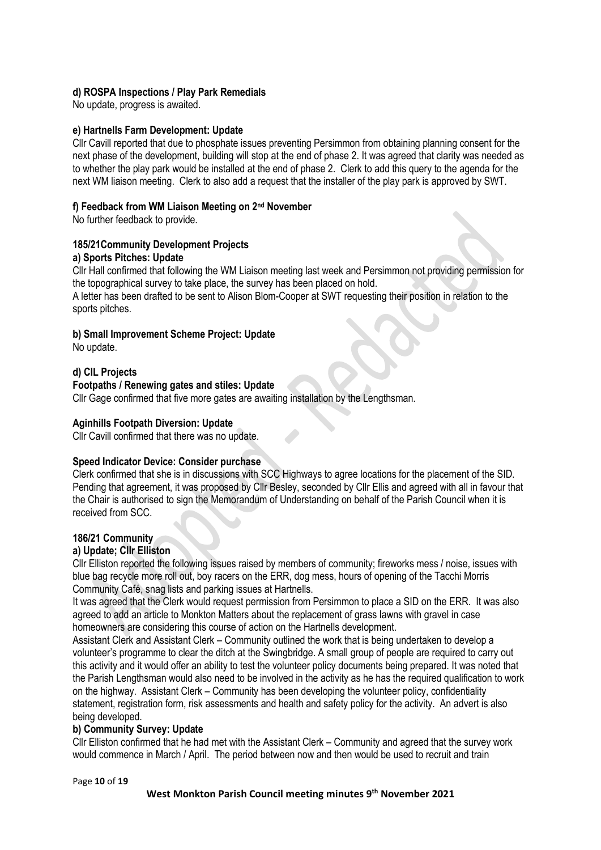## **d) ROSPA Inspections / Play Park Remedials**

No update, progress is awaited.

#### **e) Hartnells Farm Development: Update**

Cllr Cavill reported that due to phosphate issues preventing Persimmon from obtaining planning consent for the next phase of the development, building will stop at the end of phase 2. It was agreed that clarity was needed as to whether the play park would be installed at the end of phase 2. Clerk to add this query to the agenda for the next WM liaison meeting. Clerk to also add a request that the installer of the play park is approved by SWT.

## **f) Feedback from WM Liaison Meeting on 2 nd November**

No further feedback to provide.

# **185/21Community Development Projects**

#### **a) Sports Pitches: Update**

Cllr Hall confirmed that following the WM Liaison meeting last week and Persimmon not providing permission for the topographical survey to take place, the survey has been placed on hold.

A letter has been drafted to be sent to Alison Blom-Cooper at SWT requesting their position in relation to the sports pitches.

## **b) Small Improvement Scheme Project: Update**

No update.

## **d) CIL Projects**

## **Footpaths / Renewing gates and stiles: Update**

Cllr Gage confirmed that five more gates are awaiting installation by the Lengthsman.

## **Aginhills Footpath Diversion: Update**

Cllr Cavill confirmed that there was no update.

#### **Speed Indicator Device: Consider purchase**

Clerk confirmed that she is in discussions with SCC Highways to agree locations for the placement of the SID. Pending that agreement, it was proposed by Cllr Besley, seconded by Cllr Ellis and agreed with all in favour that the Chair is authorised to sign the Memorandum of Understanding on behalf of the Parish Council when it is received from SCC.

#### **186/21 Community**

#### **a) Update; Cllr Elliston**

Cllr Elliston reported the following issues raised by members of community; fireworks mess / noise, issues with blue bag recycle more roll out, boy racers on the ERR, dog mess, hours of opening of the Tacchi Morris Community Café, snag lists and parking issues at Hartnells.

It was agreed that the Clerk would request permission from Persimmon to place a SID on the ERR. It was also agreed to add an article to Monkton Matters about the replacement of grass lawns with gravel in case homeowners are considering this course of action on the Hartnells development.

Assistant Clerk and Assistant Clerk – Community outlined the work that is being undertaken to develop a volunteer's programme to clear the ditch at the Swingbridge. A small group of people are required to carry out this activity and it would offer an ability to test the volunteer policy documents being prepared. It was noted that the Parish Lengthsman would also need to be involved in the activity as he has the required qualification to work on the highway. Assistant Clerk – Community has been developing the volunteer policy, confidentiality statement, registration form, risk assessments and health and safety policy for the activity. An advert is also being developed.

#### **b) Community Survey: Update**

Cllr Elliston confirmed that he had met with the Assistant Clerk – Community and agreed that the survey work would commence in March / April. The period between now and then would be used to recruit and train

Page **10** of **19**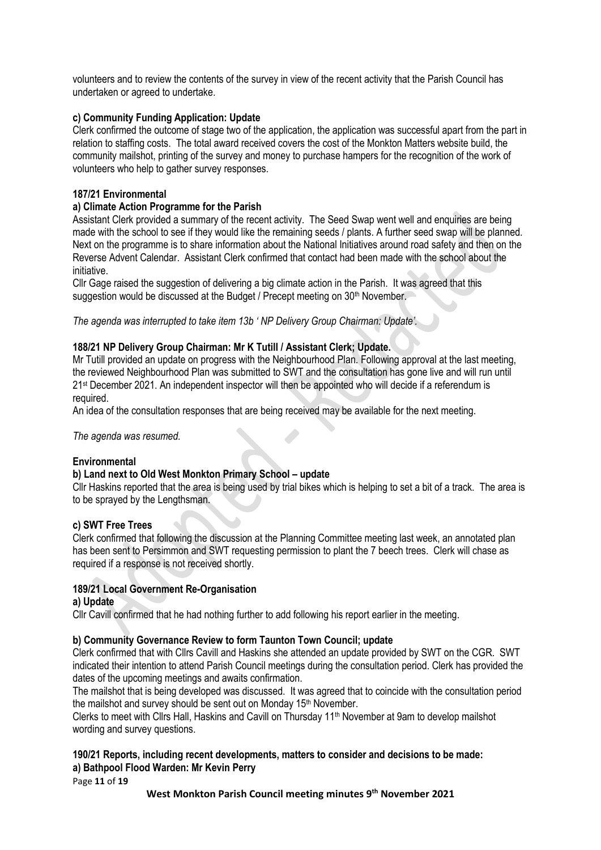volunteers and to review the contents of the survey in view of the recent activity that the Parish Council has undertaken or agreed to undertake.

## **c) Community Funding Application: Update**

Clerk confirmed the outcome of stage two of the application, the application was successful apart from the part in relation to staffing costs. The total award received covers the cost of the Monkton Matters website build, the community mailshot, printing of the survey and money to purchase hampers for the recognition of the work of volunteers who help to gather survey responses.

## **187/21 Environmental**

## **a) Climate Action Programme for the Parish**

Assistant Clerk provided a summary of the recent activity. The Seed Swap went well and enquiries are being made with the school to see if they would like the remaining seeds / plants. A further seed swap will be planned. Next on the programme is to share information about the National Initiatives around road safety and then on the Reverse Advent Calendar. Assistant Clerk confirmed that contact had been made with the school about the initiative.

Cllr Gage raised the suggestion of delivering a big climate action in the Parish. It was agreed that this suggestion would be discussed at the Budget / Precept meeting on 30<sup>th</sup> November.

*The agenda was interrupted to take item 13b ' NP Delivery Group Chairman: Update'.*

## **188/21 NP Delivery Group Chairman: Mr K Tutill / Assistant Clerk; Update.**

Mr Tutill provided an update on progress with the Neighbourhood Plan. Following approval at the last meeting, the reviewed Neighbourhood Plan was submitted to SWT and the consultation has gone live and will run until 21st December 2021. An independent inspector will then be appointed who will decide if a referendum is required.

An idea of the consultation responses that are being received may be available for the next meeting.

*The agenda was resumed.*

## **Environmental**

## **b) Land next to Old West Monkton Primary School – update**

Cllr Haskins reported that the area is being used by trial bikes which is helping to set a bit of a track. The area is to be sprayed by the Lengthsman.

#### **c) SWT Free Trees**

Clerk confirmed that following the discussion at the Planning Committee meeting last week, an annotated plan has been sent to Persimmon and SWT requesting permission to plant the 7 beech trees. Clerk will chase as required if a response is not received shortly.

## **189/21 Local Government Re-Organisation**

#### **a) Update**

Cllr Cavill confirmed that he had nothing further to add following his report earlier in the meeting.

#### **b) Community Governance Review to form Taunton Town Council; update**

Clerk confirmed that with Cllrs Cavill and Haskins she attended an update provided by SWT on the CGR. SWT indicated their intention to attend Parish Council meetings during the consultation period. Clerk has provided the dates of the upcoming meetings and awaits confirmation.

The mailshot that is being developed was discussed. It was agreed that to coincide with the consultation period the mailshot and survey should be sent out on Monday 15<sup>th</sup> November.

Clerks to meet with Cllrs Hall, Haskins and Cavill on Thursday 11th November at 9am to develop mailshot wording and survey questions.

## **190/21 Reports, including recent developments, matters to consider and decisions to be made: a) Bathpool Flood Warden: Mr Kevin Perry**

Page **11** of **19**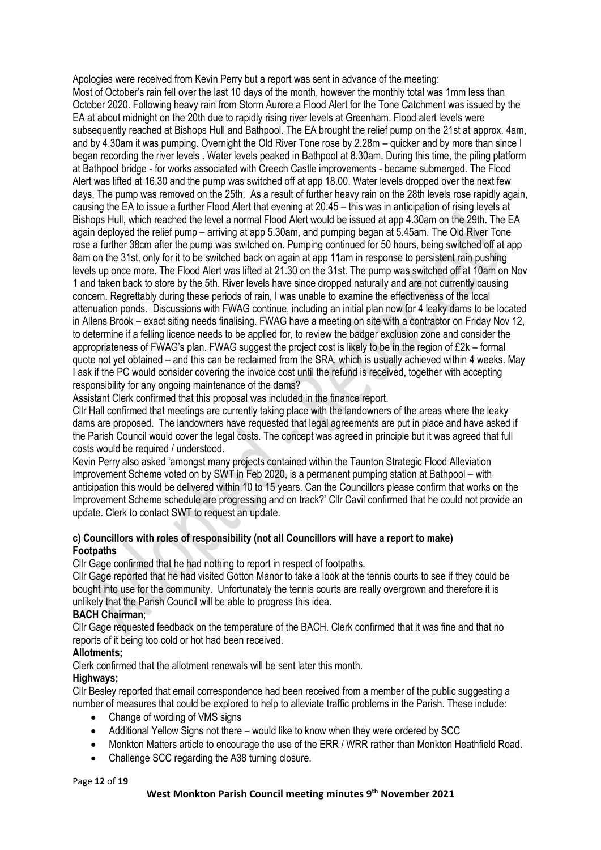Apologies were received from Kevin Perry but a report was sent in advance of the meeting: Most of October's rain fell over the last 10 days of the month, however the monthly total was 1mm less than October 2020. Following heavy rain from Storm Aurore a Flood Alert for the Tone Catchment was issued by the EA at about midnight on the 20th due to rapidly rising river levels at Greenham. Flood alert levels were subsequently reached at Bishops Hull and Bathpool. The EA brought the relief pump on the 21st at approx. 4am, and by 4.30am it was pumping. Overnight the Old River Tone rose by 2.28m – quicker and by more than since I began recording the river levels . Water levels peaked in Bathpool at 8.30am. During this time, the piling platform at Bathpool bridge - for works associated with Creech Castle improvements - became submerged. The Flood Alert was lifted at 16.30 and the pump was switched off at app 18.00. Water levels dropped over the next few days. The pump was removed on the 25th. As a result of further heavy rain on the 28th levels rose rapidly again, causing the EA to issue a further Flood Alert that evening at 20.45 – this was in anticipation of rising levels at Bishops Hull, which reached the level a normal Flood Alert would be issued at app 4.30am on the 29th. The EA again deployed the relief pump – arriving at app 5.30am, and pumping began at 5.45am. The Old River Tone rose a further 38cm after the pump was switched on. Pumping continued for 50 hours, being switched off at app 8am on the 31st, only for it to be switched back on again at app 11am in response to persistent rain pushing levels up once more. The Flood Alert was lifted at 21.30 on the 31st. The pump was switched off at 10am on Nov 1 and taken back to store by the 5th. River levels have since dropped naturally and are not currently causing concern. Regrettably during these periods of rain, I was unable to examine the effectiveness of the local attenuation ponds. Discussions with FWAG continue, including an initial plan now for 4 leaky dams to be located in Allens Brook – exact siting needs finalising. FWAG have a meeting on site with a contractor on Friday Nov 12, to determine if a felling licence needs to be applied for, to review the badger exclusion zone and consider the appropriateness of FWAG's plan. FWAG suggest the project cost is likely to be in the region of £2k – formal quote not yet obtained – and this can be reclaimed from the SRA, which is usually achieved within 4 weeks. May I ask if the PC would consider covering the invoice cost until the refund is received, together with accepting responsibility for any ongoing maintenance of the dams?

Assistant Clerk confirmed that this proposal was included in the finance report.

Cllr Hall confirmed that meetings are currently taking place with the landowners of the areas where the leaky dams are proposed. The landowners have requested that legal agreements are put in place and have asked if the Parish Council would cover the legal costs. The concept was agreed in principle but it was agreed that full costs would be required / understood.

Kevin Perry also asked 'amongst many projects contained within the Taunton Strategic Flood Alleviation Improvement Scheme voted on by SWT in Feb 2020, is a permanent pumping station at Bathpool – with anticipation this would be delivered within 10 to 15 years. Can the Councillors please confirm that works on the Improvement Scheme schedule are progressing and on track?' Cllr Cavil confirmed that he could not provide an update. Clerk to contact SWT to request an update.

## **c) Councillors with roles of responsibility (not all Councillors will have a report to make) Footpaths**

Cllr Gage confirmed that he had nothing to report in respect of footpaths.

Cllr Gage reported that he had visited Gotton Manor to take a look at the tennis courts to see if they could be bought into use for the community. Unfortunately the tennis courts are really overgrown and therefore it is unlikely that the Parish Council will be able to progress this idea.

## **BACH Chairman**;

Cllr Gage requested feedback on the temperature of the BACH. Clerk confirmed that it was fine and that no reports of it being too cold or hot had been received.

## **Allotments;**

Clerk confirmed that the allotment renewals will be sent later this month.

## **Highways;**

Cllr Besley reported that email correspondence had been received from a member of the public suggesting a number of measures that could be explored to help to alleviate traffic problems in the Parish. These include:

- Change of wording of VMS signs
- Additional Yellow Signs not there would like to know when they were ordered by SCC
- Monkton Matters article to encourage the use of the ERR / WRR rather than Monkton Heathfield Road.
- Challenge SCC regarding the A38 turning closure.

#### Page **12** of **19**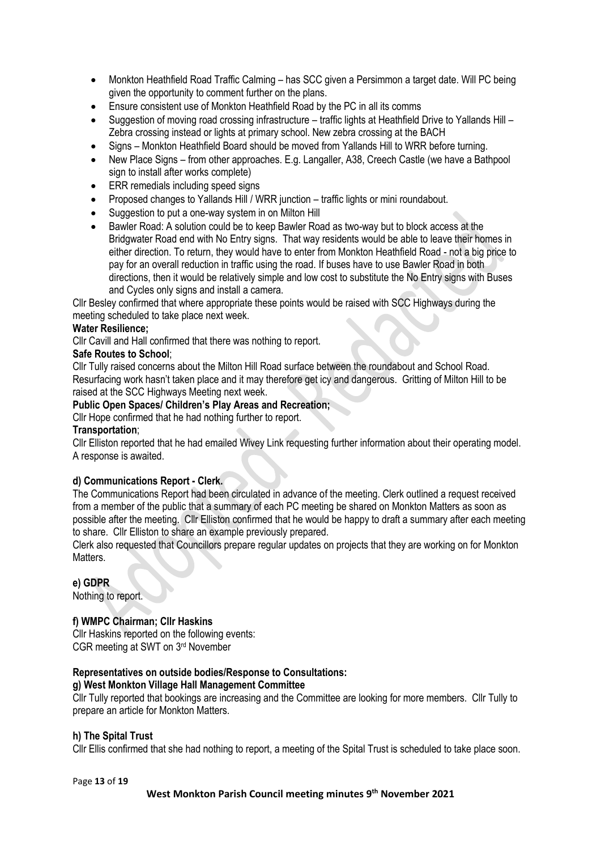- Monkton Heathfield Road Traffic Calming has SCC given a Persimmon a target date. Will PC being given the opportunity to comment further on the plans.
- Ensure consistent use of Monkton Heathfield Road by the PC in all its comms
- Suggestion of moving road crossing infrastructure traffic lights at Heathfield Drive to Yallands Hill Zebra crossing instead or lights at primary school. New zebra crossing at the BACH
- Signs Monkton Heathfield Board should be moved from Yallands Hill to WRR before turning.
- New Place Signs from other approaches. E.g. Langaller, A38, Creech Castle (we have a Bathpool sign to install after works complete)
- ERR remedials including speed signs
- Proposed changes to Yallands Hill / WRR junction traffic lights or mini roundabout.
- Suggestion to put a one-way system in on Milton Hill
- Bawler Road: A solution could be to keep Bawler Road as two-way but to block access at the Bridgwater Road end with No Entry signs. That way residents would be able to leave their homes in either direction. To return, they would have to enter from Monkton Heathfield Road - not a big price to pay for an overall reduction in traffic using the road. If buses have to use Bawler Road in both directions, then it would be relatively simple and low cost to substitute the No Entry signs with Buses and Cycles only signs and install a camera.

Cllr Besley confirmed that where appropriate these points would be raised with SCC Highways during the meeting scheduled to take place next week.

## **Water Resilience;**

Cllr Cavill and Hall confirmed that there was nothing to report.

#### **Safe Routes to School**;

Cllr Tully raised concerns about the Milton Hill Road surface between the roundabout and School Road. Resurfacing work hasn't taken place and it may therefore get icy and dangerous. Gritting of Milton Hill to be raised at the SCC Highways Meeting next week.

#### **Public Open Spaces/ Children's Play Areas and Recreation;**

Cllr Hope confirmed that he had nothing further to report.

#### **Transportation**;

Cllr Elliston reported that he had emailed Wivey Link requesting further information about their operating model. A response is awaited.

#### **d) Communications Report - Clerk.**

The Communications Report had been circulated in advance of the meeting. Clerk outlined a request received from a member of the public that a summary of each PC meeting be shared on Monkton Matters as soon as possible after the meeting. Cllr Elliston confirmed that he would be happy to draft a summary after each meeting to share. Cllr Elliston to share an example previously prepared.

Clerk also requested that Councillors prepare regular updates on projects that they are working on for Monkton Matters.

#### **e) GDPR**

Nothing to report.

## **f) WMPC Chairman; Cllr Haskins**

Cllr Haskins reported on the following events: CGR meeting at SWT on 3rd November

#### **Representatives on outside bodies/Response to Consultations: g) West Monkton Village Hall Management Committee**

Cllr Tully reported that bookings are increasing and the Committee are looking for more members. Cllr Tully to prepare an article for Monkton Matters.

#### **h) The Spital Trust**

Cllr Ellis confirmed that she had nothing to report, a meeting of the Spital Trust is scheduled to take place soon.

Page **13** of **19**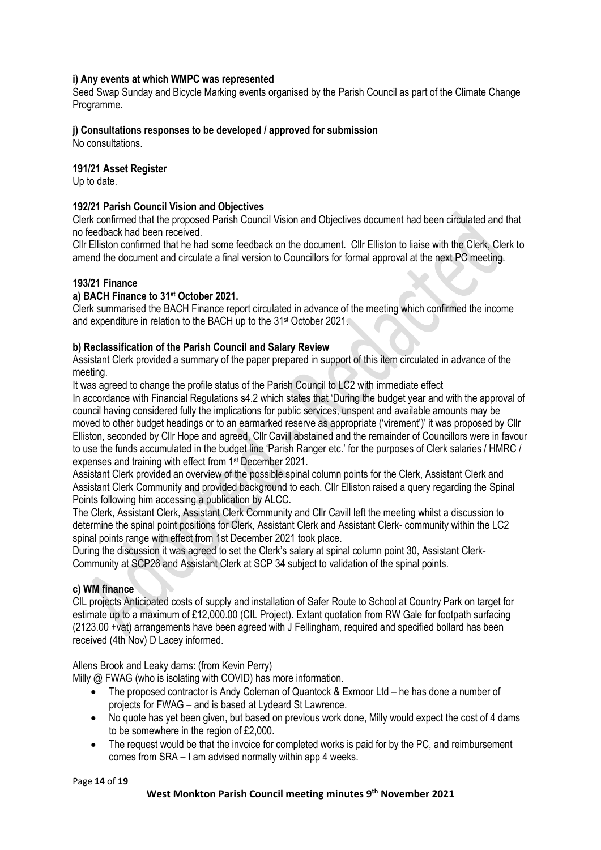## **i) Any events at which WMPC was represented**

Seed Swap Sunday and Bicycle Marking events organised by the Parish Council as part of the Climate Change Programme.

## **j) Consultations responses to be developed / approved for submission**

No consultations.

## **191/21 Asset Register**

Up to date.

## **192/21 Parish Council Vision and Objectives**

Clerk confirmed that the proposed Parish Council Vision and Objectives document had been circulated and that no feedback had been received.

Cllr Elliston confirmed that he had some feedback on the document. Cllr Elliston to liaise with the Clerk, Clerk to amend the document and circulate a final version to Councillors for formal approval at the next PC meeting.

## **193/21 Finance**

#### **a) BACH Finance to 31 st October 2021.**

Clerk summarised the BACH Finance report circulated in advance of the meeting which confirmed the income and expenditure in relation to the BACH up to the 31<sup>st</sup> October 2021.

## **b) Reclassification of the Parish Council and Salary Review**

Assistant Clerk provided a summary of the paper prepared in support of this item circulated in advance of the meeting.

It was agreed to change the profile status of the Parish Council to LC2 with immediate effect In accordance with Financial Regulations s4.2 which states that 'During the budget year and with the approval of council having considered fully the implications for public services, unspent and available amounts may be

moved to other budget headings or to an earmarked reserve as appropriate ('virement')' it was proposed by Cllr Elliston, seconded by Cllr Hope and agreed, Cllr Cavill abstained and the remainder of Councillors were in favour to use the funds accumulated in the budget line 'Parish Ranger etc.' for the purposes of Clerk salaries / HMRC / expenses and training with effect from 1st December 2021.

Assistant Clerk provided an overview of the possible spinal column points for the Clerk, Assistant Clerk and Assistant Clerk Community and provided background to each. Cllr Elliston raised a query regarding the Spinal Points following him accessing a publication by ALCC.

The Clerk, Assistant Clerk, Assistant Clerk Community and Cllr Cavill left the meeting whilst a discussion to determine the spinal point positions for Clerk, Assistant Clerk and Assistant Clerk- community within the LC2 spinal points range with effect from 1st December 2021 took place.

During the discussion it was agreed to set the Clerk's salary at spinal column point 30, Assistant Clerk-Community at SCP26 and Assistant Clerk at SCP 34 subject to validation of the spinal points.

## **c) WM finance**

CIL projects Anticipated costs of supply and installation of Safer Route to School at Country Park on target for estimate up to a maximum of £12,000.00 (CIL Project). Extant quotation from RW Gale for footpath surfacing (2123.00 +vat) arrangements have been agreed with J Fellingham, required and specified bollard has been received (4th Nov) D Lacey informed.

Allens Brook and Leaky dams: (from Kevin Perry)

Milly @ FWAG (who is isolating with COVID) has more information.

- The proposed contractor is Andy Coleman of Quantock & Exmoor Ltd he has done a number of projects for FWAG – and is based at Lydeard St Lawrence.
- No quote has yet been given, but based on previous work done, Milly would expect the cost of 4 dams to be somewhere in the region of £2,000.
- The request would be that the invoice for completed works is paid for by the PC, and reimbursement comes from SRA – I am advised normally within app 4 weeks.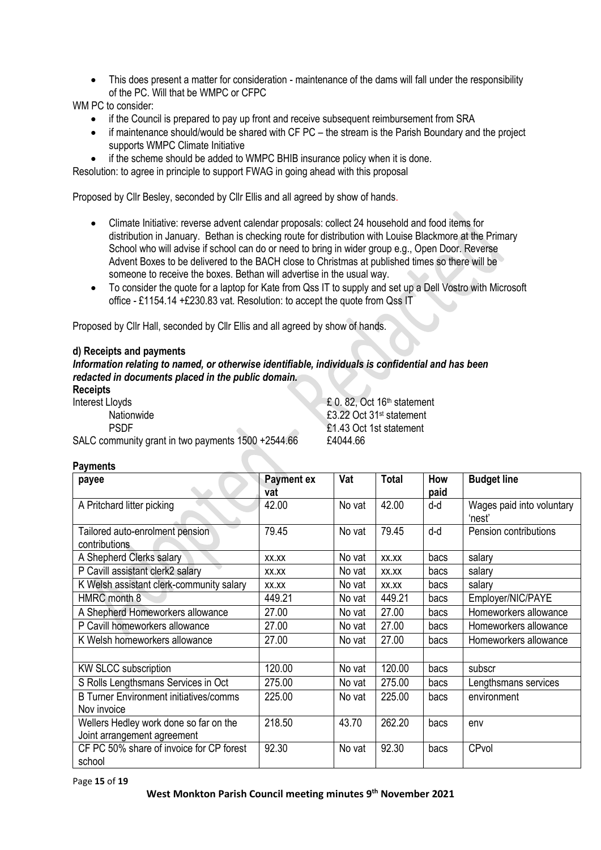• This does present a matter for consideration - maintenance of the dams will fall under the responsibility of the PC. Will that be WMPC or CFPC

WM PC to consider:

- if the Council is prepared to pay up front and receive subsequent reimbursement from SRA
- if maintenance should/would be shared with CF PC the stream is the Parish Boundary and the project supports WMPC Climate Initiative
- if the scheme should be added to WMPC BHIB insurance policy when it is done.

Resolution: to agree in principle to support FWAG in going ahead with this proposal

Proposed by Cllr Besley, seconded by Cllr Ellis and all agreed by show of hands.

- Climate Initiative: reverse advent calendar proposals: collect 24 household and food items for distribution in January. Bethan is checking route for distribution with Louise Blackmore at the Primary School who will advise if school can do or need to bring in wider group e.g., Open Door. Reverse Advent Boxes to be delivered to the BACH close to Christmas at published times so there will be someone to receive the boxes. Bethan will advertise in the usual way.
- To consider the quote for a laptop for Kate from Qss IT to supply and set up a Dell Vostro with Microsoft office - £1154.14 +£230.83 vat. Resolution: to accept the quote from Qss IT

Proposed by Cllr Hall, seconded by Cllr Ellis and all agreed by show of hands.

## **d) Receipts and payments**

*Information relating to named, or otherwise identifiable, individuals is confidential and has been redacted in documents placed in the public domain.*

## **Receipts**

Interest Lloyds **E** 0. 82, Oct 16<sup>th</sup> statement Nationwide **E3.22** Oct 31<sup>st</sup> statement PSDF £1.43 Oct 1st statement

SALC community grant in two payments 1500 + 2544.66 £4044.66

| <b>Payments</b>                                                       |                          |        |              |             |                                     |  |  |  |
|-----------------------------------------------------------------------|--------------------------|--------|--------------|-------------|-------------------------------------|--|--|--|
| payee                                                                 | <b>Payment ex</b><br>vat | Vat    | <b>Total</b> | How<br>paid | <b>Budget line</b>                  |  |  |  |
| A Pritchard litter picking                                            | 42.00                    | No vat | 42.00        | d-d         | Wages paid into voluntary<br>'nest' |  |  |  |
| Tailored auto-enrolment pension<br>contributions                      | 79.45                    | No vat | 79.45        | d-d         | Pension contributions               |  |  |  |
| A Shepherd Clerks salary                                              | XX.XX                    | No vat | XX.XX        | bacs        | salary                              |  |  |  |
| P Cavill assistant clerk2 salary                                      | XX.XX                    | No vat | XX.XX        | bacs        | salary                              |  |  |  |
| K Welsh assistant clerk-community salary                              | XX.XX                    | No vat | XX.XX        | bacs        | salary                              |  |  |  |
| HMRC month 8                                                          | 449.21                   | No vat | 449.21       | bacs        | Employer/NIC/PAYE                   |  |  |  |
| A Shepherd Homeworkers allowance                                      | 27.00                    | No vat | 27.00        | bacs        | Homeworkers allowance               |  |  |  |
| P Cavill homeworkers allowance                                        | 27.00                    | No vat | 27.00        | bacs        | Homeworkers allowance               |  |  |  |
| K Welsh homeworkers allowance                                         | 27.00                    | No vat | 27.00        | bacs        | Homeworkers allowance               |  |  |  |
|                                                                       |                          |        |              |             |                                     |  |  |  |
| <b>KW SLCC subscription</b>                                           | 120.00                   | No vat | 120.00       | bacs        | subscr                              |  |  |  |
| S Rolls Lengthsmans Services in Oct                                   | 275.00                   | No vat | 275.00       | bacs        | Lengthsmans services                |  |  |  |
| <b>B Turner Environment initiatives/comms</b><br>Nov invoice          | 225.00                   | No vat | 225.00       | bacs        | environment                         |  |  |  |
| Wellers Hedley work done so far on the<br>Joint arrangement agreement | 218.50                   | 43.70  | 262.20       | bacs        | env                                 |  |  |  |
| CF PC 50% share of invoice for CP forest<br>school                    | 92.30                    | No vat | 92.30        | bacs        | CPvol                               |  |  |  |

Page **15** of **19**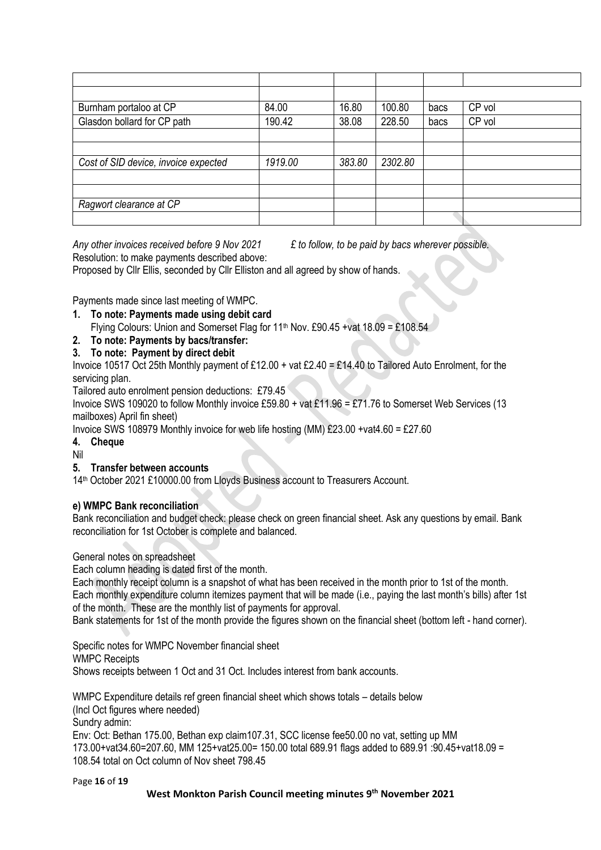| Burnham portaloo at CP               | 84.00   | 16.80  | 100.80  | bacs | CP vol |
|--------------------------------------|---------|--------|---------|------|--------|
| Glasdon bollard for CP path          | 190.42  | 38.08  | 228.50  | bacs | CP vol |
|                                      |         |        |         |      |        |
|                                      |         |        |         |      |        |
| Cost of SID device, invoice expected | 1919.00 | 383.80 | 2302.80 |      |        |
|                                      |         |        |         |      |        |
|                                      |         |        |         |      |        |
| Ragwort clearance at CP              |         |        |         |      |        |
|                                      |         |        |         |      |        |

*Any other invoices received before 9 Nov 2021 £ to follow, to be paid by bacs wherever possible.* Resolution: to make payments described above:

Proposed by Cllr Ellis, seconded by Cllr Elliston and all agreed by show of hands.

Payments made since last meeting of WMPC.

- **1. To note: Payments made using debit card**
	- Flying Colours: Union and Somerset Flag for 11<sup>th</sup> Nov. £90.45 +vat 18.09 = £108.54
- **2. To note: Payments by bacs/transfer:**
- **3. To note: Payment by direct debit**

Invoice 10517 Oct 25th Monthly payment of £12.00 + vat £2.40 = £14.40 to Tailored Auto Enrolment, for the servicing plan.

Tailored auto enrolment pension deductions: £79.45

Invoice SWS 109020 to follow Monthly invoice £59.80 + vat £11.96 = £71.76 to Somerset Web Services (13 mailboxes) April fin sheet)

Invoice SWS 108979 Monthly invoice for web life hosting (MM)  $£23.00 + vat4.60 = £27.60$ 

## **4. Cheque**

Nil

## **5. Transfer between accounts**

14<sup>th</sup> October 2021 £10000.00 from Lloyds Business account to Treasurers Account.

## **e) WMPC Bank reconciliation**

Bank reconciliation and budget check: please check on green financial sheet. Ask any questions by email. Bank reconciliation for 1st October is complete and balanced.

## General notes on spreadsheet

Each column heading is dated first of the month.

Each monthly receipt column is a snapshot of what has been received in the month prior to 1st of the month. Each monthly expenditure column itemizes payment that will be made (i.e., paying the last month's bills) after 1st of the month. These are the monthly list of payments for approval.

Bank statements for 1st of the month provide the figures shown on the financial sheet (bottom left - hand corner).

Specific notes for WMPC November financial sheet WMPC Receipts Shows receipts between 1 Oct and 31 Oct. Includes interest from bank accounts.

WMPC Expenditure details ref green financial sheet which shows totals – details below (Incl Oct figures where needed) Sundry admin: Env: Oct: Bethan 175.00, Bethan exp claim107.31, SCC license fee50.00 no vat, setting up MM 173.00+vat34.60=207.60, MM 125+vat25.00= 150.00 total 689.91 flags added to 689.91 :90.45+vat18.09 = 108.54 total on Oct column of Nov sheet 798.45

Page **16** of **19**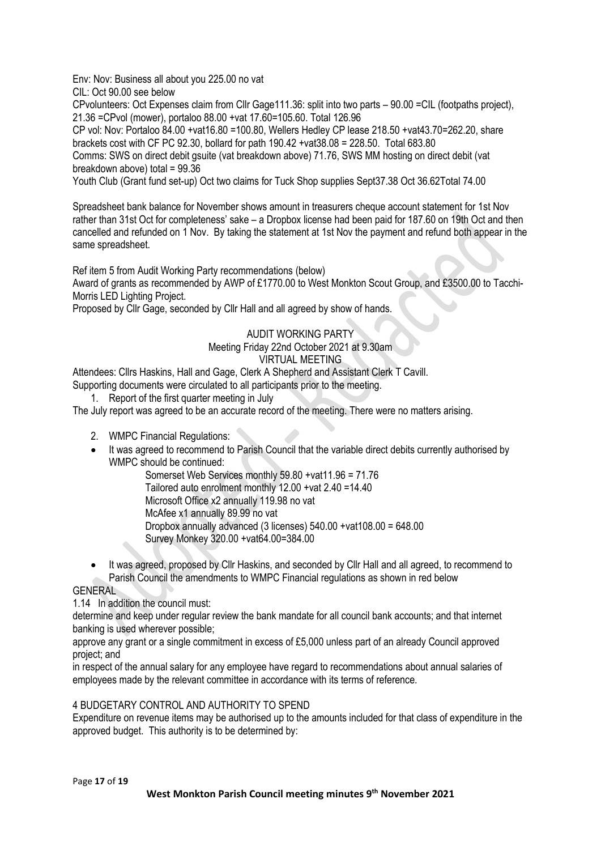Env: Nov: Business all about you 225.00 no vat

CIL: Oct 90.00 see below

CPvolunteers: Oct Expenses claim from Cllr Gage111.36: split into two parts – 90.00 =CIL (footpaths project), 21.36 =CPvol (mower), portaloo 88.00 +vat 17.60=105.60. Total 126.96

CP vol: Nov: Portaloo 84.00 +vat16.80 =100.80, Wellers Hedley CP lease 218.50 +vat43.70=262.20, share brackets cost with CF PC 92.30, bollard for path 190.42 +vat38.08 = 228.50. Total 683.80

Comms: SWS on direct debit gsuite (vat breakdown above) 71.76, SWS MM hosting on direct debit (vat breakdown above) total = 99.36

Youth Club (Grant fund set-up) Oct two claims for Tuck Shop supplies Sept37.38 Oct 36.62Total 74.00

Spreadsheet bank balance for November shows amount in treasurers cheque account statement for 1st Nov rather than 31st Oct for completeness' sake – a Dropbox license had been paid for 187.60 on 19th Oct and then cancelled and refunded on 1 Nov. By taking the statement at 1st Nov the payment and refund both appear in the same spreadsheet.

Ref item 5 from Audit Working Party recommendations (below)

Award of grants as recommended by AWP of £1770.00 to West Monkton Scout Group, and £3500.00 to Tacchi-Morris LED Lighting Project.

Proposed by Cllr Gage, seconded by Cllr Hall and all agreed by show of hands.

## AUDIT WORKING PARTY Meeting Friday 22nd October 2021 at 9.30am VIRTUAL MEETING

Attendees: Cllrs Haskins, Hall and Gage, Clerk A Shepherd and Assistant Clerk T Cavill.

- Supporting documents were circulated to all participants prior to the meeting.
	- 1. Report of the first quarter meeting in July

The July report was agreed to be an accurate record of the meeting. There were no matters arising.

- 2. WMPC Financial Regulations:
- It was agreed to recommend to Parish Council that the variable direct debits currently authorised by WMPC should be continued:

Somerset Web Services monthly 59.80 +vat11.96 = 71.76 Tailored auto enrolment monthly 12.00 +vat 2.40 =14.40 Microsoft Office x2 annually 119.98 no vat McAfee x1 annually 89.99 no vat Dropbox annually advanced (3 licenses) 540.00 +vat108.00 = 648.00 Survey Monkey 320.00 +vat64.00=384.00

• It was agreed, proposed by Cllr Haskins, and seconded by Cllr Hall and all agreed, to recommend to Parish Council the amendments to WMPC Financial regulations as shown in red below

**GENERAL** 

1.14 In addition the council must:

determine and keep under regular review the bank mandate for all council bank accounts; and that internet banking is used wherever possible;

approve any grant or a single commitment in excess of £5,000 unless part of an already Council approved project; and

in respect of the annual salary for any employee have regard to recommendations about annual salaries of employees made by the relevant committee in accordance with its terms of reference.

#### 4 BUDGETARY CONTROL AND AUTHORITY TO SPEND

Expenditure on revenue items may be authorised up to the amounts included for that class of expenditure in the approved budget. This authority is to be determined by: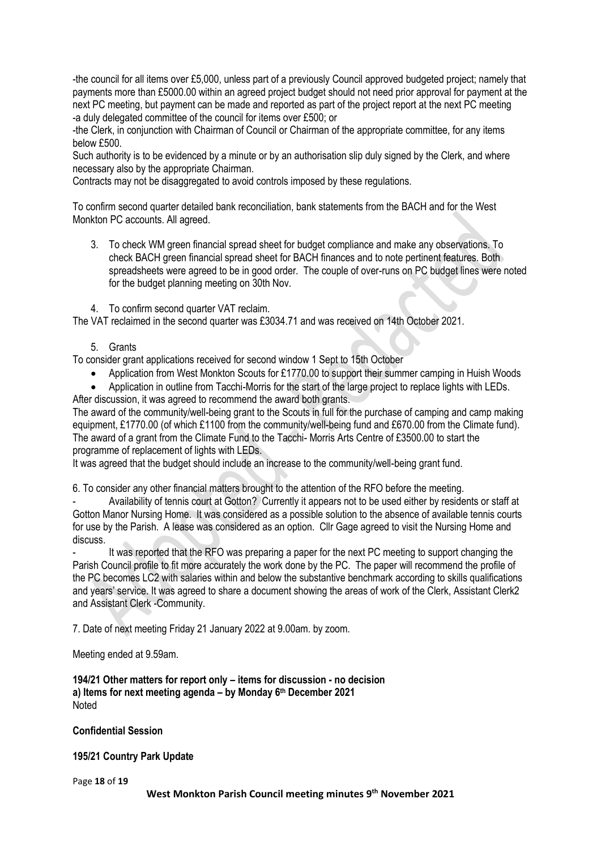-the council for all items over £5,000, unless part of a previously Council approved budgeted project; namely that payments more than £5000.00 within an agreed project budget should not need prior approval for payment at the next PC meeting, but payment can be made and reported as part of the project report at the next PC meeting -a duly delegated committee of the council for items over £500; or

-the Clerk, in conjunction with Chairman of Council or Chairman of the appropriate committee, for any items below £500.

Such authority is to be evidenced by a minute or by an authorisation slip duly signed by the Clerk, and where necessary also by the appropriate Chairman.

Contracts may not be disaggregated to avoid controls imposed by these regulations.

To confirm second quarter detailed bank reconciliation, bank statements from the BACH and for the West Monkton PC accounts. All agreed.

- 3. To check WM green financial spread sheet for budget compliance and make any observations. To check BACH green financial spread sheet for BACH finances and to note pertinent features. Both spreadsheets were agreed to be in good order. The couple of over-runs on PC budget lines were noted for the budget planning meeting on 30th Nov.
- 4. To confirm second quarter VAT reclaim.

The VAT reclaimed in the second quarter was £3034.71 and was received on 14th October 2021.

5. Grants

To consider grant applications received for second window 1 Sept to 15th October

- Application from West Monkton Scouts for £1770.00 to support their summer camping in Huish Woods
- Application in outline from Tacchi-Morris for the start of the large project to replace lights with LEDs. After discussion, it was agreed to recommend the award both grants.

The award of the community/well-being grant to the Scouts in full for the purchase of camping and camp making equipment, £1770.00 (of which £1100 from the community/well-being fund and £670.00 from the Climate fund). The award of a grant from the Climate Fund to the Tacchi- Morris Arts Centre of £3500.00 to start the programme of replacement of lights with LEDs.

It was agreed that the budget should include an increase to the community/well-being grant fund.

6. To consider any other financial matters brought to the attention of the RFO before the meeting.

- Availability of tennis court at Gotton? Currently it appears not to be used either by residents or staff at Gotton Manor Nursing Home. It was considered as a possible solution to the absence of available tennis courts for use by the Parish. A lease was considered as an option. Cllr Gage agreed to visit the Nursing Home and discuss.

It was reported that the RFO was preparing a paper for the next PC meeting to support changing the Parish Council profile to fit more accurately the work done by the PC. The paper will recommend the profile of the PC becomes LC2 with salaries within and below the substantive benchmark according to skills qualifications and years' service. It was agreed to share a document showing the areas of work of the Clerk, Assistant Clerk2 and Assistant Clerk -Community.

7. Date of next meeting Friday 21 January 2022 at 9.00am. by zoom.

Meeting ended at 9.59am.

**194/21 Other matters for report only – items for discussion - no decision a) Items for next meeting agenda – by Monday 6 th December 2021** Noted

**Confidential Session**

**195/21 Country Park Update**

Page **18** of **19**